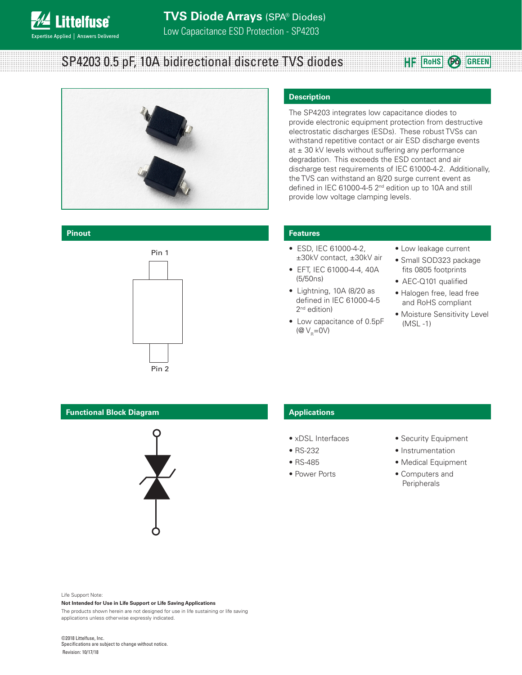# SP4203 0.5 pF, 10A bidirectional discrete TVS diodes



**Pinout**



#### **Description**

The SP4203 integrates low capacitance diodes to provide electronic equipment protection from destructive electrostatic discharges (ESDs). These robust TVSs can withstand repetitive contact or air ESD discharge events at  $\pm$  30 kV levels without suffering any performance degradation. This exceeds the ESD contact and air discharge test requirements of IEC 61000-4-2. Additionally, the TVS can withstand an 8/20 surge current event as defined in IEC 61000-4-5 2<sup>nd</sup> edition up to 10A and still provide low voltage clamping levels.

#### **Features**

- ESD, IEC 61000-4-2, ±30kV contact, ±30kV air
- EFT, IEC 61000-4-4, 40A (5/50ns)
- Lightning, 10A (8/20 as defined in IEC 61000-4-5 2<sup>nd</sup> edition)
- Low capacitance of 0.5pF ( $\mathcal{Q}$   $V_R$ =0V)
- Low leakage current
- Small SOD323 package fits 0805 footprints

**RoHS Pb GREEN**

- AEC-Q101 qualified
- Halogen free, lead free and RoHS compliant
- Moisture Sensitivity Level (MSL -1)

#### **Functional Block Diagram**



#### **Applications**

- xDSL Interfaces
- RS-232
- RS-485
- Power Ports
- Security Equipment
- Instrumentation
- Medical Equipment
- Computers and Peripherals

Life Support Note:

#### **Not Intended for Use in Life Support or Life Saving Applications**

The products shown herein are not designed for use in life sustaining or life saving applications unless otherwise expressly indicated.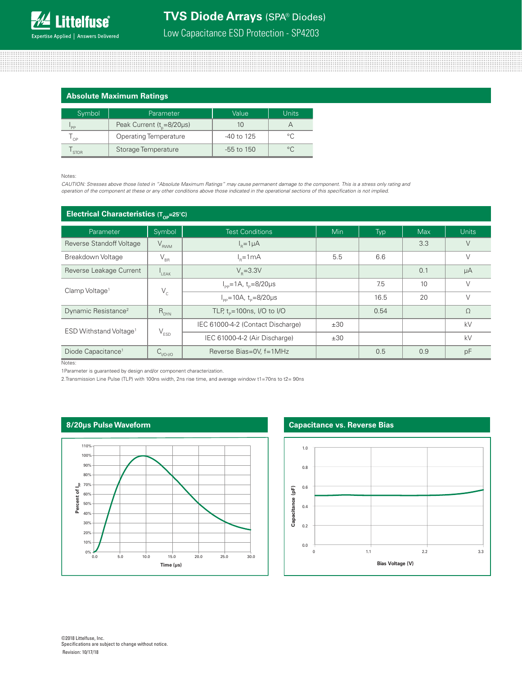### **TVS Diode Arrays** (SPA® Diodes)

Low Capacitance ESD Protection - SP4203

#### **Absolute Maximum Ratings**

| Symbol      | Parameter                              | Value          | <b>Units</b> |  |
|-------------|----------------------------------------|----------------|--------------|--|
| 'PP         | Peak Current ( $t_{\text{g}}$ =8/20µs) |                |              |  |
| OP          | <b>Operating Temperature</b>           | $-40$ to $125$ |              |  |
| <b>STOR</b> | Storage Temperature                    | $-55$ to $150$ | $\circ$      |  |

#### Notes:

*CAUTION: Stresses above those listed in "Absolute Maximum Ratings" may cause permanent damage to the component. This is a stress only rating and operation of the component at these or any other conditions above those indicated in the operational sections of this specification is not implied.*

| Electrical Characteristics (Top=25°C) |                             |                                            |            |      |            |              |
|---------------------------------------|-----------------------------|--------------------------------------------|------------|------|------------|--------------|
| Parameter                             | Symbol                      | <b>Test Conditions</b>                     | <b>Min</b> | Typ  | <b>Max</b> | <b>Units</b> |
| Reverse Standoff Voltage              | $V_{RWM}$                   | $I_p = 1 \mu A$                            |            |      | 3.3        | $\vee$       |
| Breakdown Voltage                     | $\rm V_{\rm BR}$            | $l_{p}=1mA$                                | 5.5        | 6.6  |            | $\vee$       |
| Reverse Leakage Current               | $L_{\text{EAK}}$            | $V_{\rm p} = 3.3V$                         |            |      | 0.1        | $\mu A$      |
| Clamp Voltage <sup>1</sup>            | $V_c$                       | $I_{\rm pp} = 1A$ , t <sub>p</sub> =8/20µs |            | 7.5  | 10         | $\vee$       |
|                                       |                             | $I_{\rm pp}$ =10A, t <sub>p</sub> =8/20µs  |            | 16.5 | 20         | $\vee$       |
| Dynamic Resistance <sup>2</sup>       | $R_{DYN}$                   | TLP, $t_{0} = 100$ ns, I/O to I/O          |            | 0.54 |            | $\Omega$     |
| ESD Withstand Voltage <sup>1</sup>    | $\mathsf{V}_{\texttt{ESD}}$ | IEC 61000-4-2 (Contact Discharge)          | ±30        |      |            | kV           |
|                                       |                             | IEC 61000-4-2 (Air Discharge)              | ±30        |      |            | kV           |
| Diode Capacitance <sup>1</sup>        | $C_{\text{IVO-IVO}}$        | Reverse Bias=0V, f=1MHz                    |            | 0.5  | 0.9        | pF           |

Notes:

1Parameter is guaranteed by design and/or component characterization.

2.Transmission Line Pulse (TLP) with 100ns width, 2ns rise time, and average window t1=70ns to t2= 90ns

#### **8/20μs Pulse Waveform**



#### **Capacitance vs. Reverse Bias**

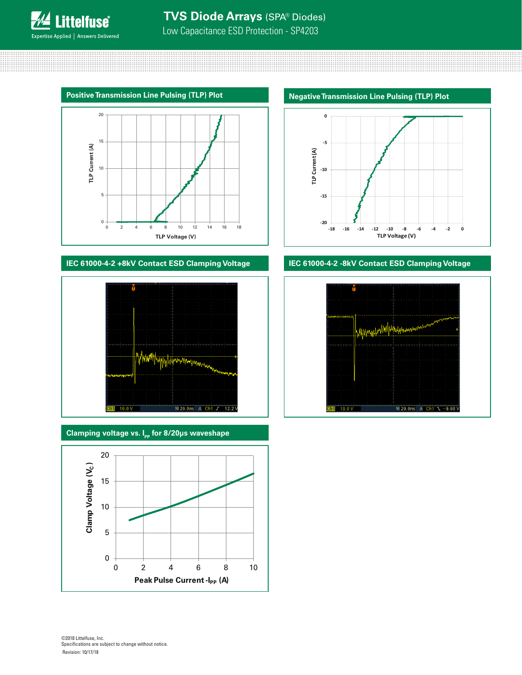Low Capacitance ESD Protection - SP4203



#### **IEC 61000-4-2 +8kV Contact ESD Clamping Voltage**



**Clamping voltage vs. I<sub>pp</sub> for 8/20μs waveshape** 



**Negative Transmission Line Pulsing (TLP) Plot** 



### **IEC 61000-4-2 -8kV Contact ESD Clamping Voltage**



©2018 Littelfuse, Inc. Specifications are subject to change without notice. Revision: 10/17/18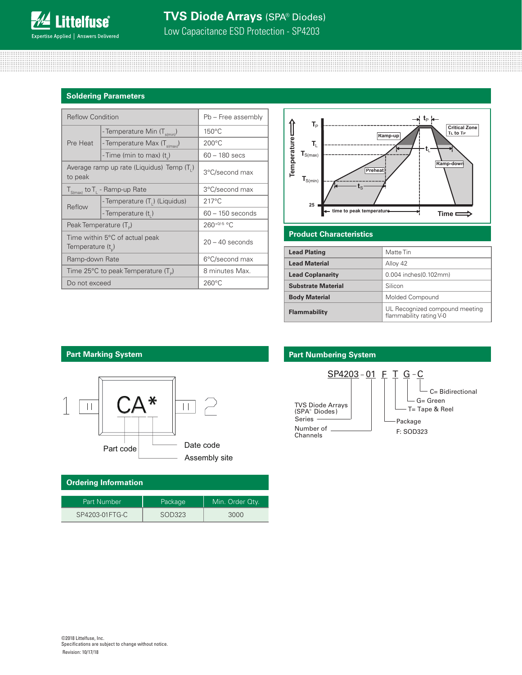Low Capacitance ESD Protection - SP4203

#### **Soldering Parameters**

| <b>Reflow Condition</b>                                 |                                          | Pb - Free assembly |  |
|---------------------------------------------------------|------------------------------------------|--------------------|--|
|                                                         | - Temperature Min (T <sub>s(min</sub> )  | $150^{\circ}$ C    |  |
| Pre Heat                                                | - Temperature Max (T <sub>s(max)</sub> ) | $200^{\circ}$ C    |  |
|                                                         | - Time (min to max) (t)                  | $60 - 180$ secs    |  |
| Average ramp up rate (Liquidus) Temp (T.)<br>to peak    |                                          | 3°C/second max     |  |
| $T_{S(max)}$ to $T_{L}$ - Ramp-up Rate                  |                                          | 3°C/second max     |  |
| Reflow                                                  | - Temperature (T,) (Liquidus)            | $217^{\circ}$ C    |  |
|                                                         | - Temperature (t,)                       | $60 - 150$ seconds |  |
| Peak Temperature (T <sub>D</sub> )                      |                                          | 260+0/-5 °C        |  |
| Time within 5°C of actual peak<br>Temperature $(t_{n})$ |                                          | $20 - 40$ seconds  |  |
| Ramp-down Rate                                          |                                          | 6°C/second max     |  |
| Time 25°C to peak Temperature (T <sub>o</sub> )         |                                          | 8 minutes Max.     |  |
| Do not exceed                                           |                                          | $260^{\circ}$ C    |  |



#### **Product Characteristics**

| <b>Lead Plating</b>       | Matte Tin                                                 |
|---------------------------|-----------------------------------------------------------|
| <b>Lead Material</b>      | Alloy 42                                                  |
| <b>Lead Coplanarity</b>   | 0.004 inches(0.102mm)                                     |
| <b>Substrate Material</b> | Silicon                                                   |
| <b>Body Material</b>      | Molded Compound                                           |
| <b>Flammability</b>       | UL Recognized compound meeting<br>flammability rating V-0 |



| Ordering Information |         |                 |  |  |
|----------------------|---------|-----------------|--|--|
| Part Number          | Package | Min. Order Qty. |  |  |
| SP4203-01FTG-C       | SOD323  | 3000            |  |  |

#### **Part Marking System Part Mumbering System**